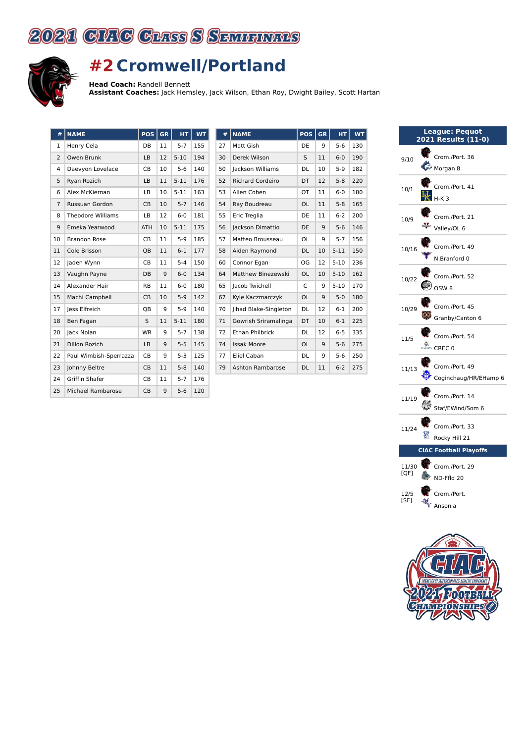



## **#2 Cromwell/Portland**

**Head Coach:** Randell Bennett

**Assistant Coaches:** Jack Hemsley, Jack Wilson, Ethan Roy, Dwight Bailey, Scott Hartan

| #              | <b>NAME</b>              | <b>POS</b> | <b>GR</b> | <b>HT</b> | <b>WT</b> |
|----------------|--------------------------|------------|-----------|-----------|-----------|
| 1              | Henry Cela               | DB         | 11        | $5 - 7$   | 155       |
| $\overline{2}$ | Owen Brunk               | LB         | 12        | $5 - 10$  | 194       |
| 4              | Daevyon Lovelace         | CB         | 10        | $5 - 6$   | 140       |
| 5              | Ryan Rozich              | LB         | 11        | $5 - 11$  | 176       |
| 6              | Alex McKiernan           | LB         | 10        | $5 - 11$  | 163       |
| $\overline{7}$ | <b>Russuan Gordon</b>    | <b>CB</b>  | 10        | $5 - 7$   | 146       |
| 8              | <b>Theodore Williams</b> | LB         | 12        | $6-0$     | 181       |
| 9              | Emeka Yearwood           | <b>ATH</b> | 10        | $5 - 11$  | 175       |
| 10             | <b>Brandon Rose</b>      | <b>CB</b>  | 11        | $5-9$     | 185       |
| 11             | Cole Brisson             | QB         | 11        | $6 - 1$   | 177       |
| 12             | Jaden Wynn               | CB         | 11        | $5 - 4$   | 150       |
| 13             | Vaughn Payne             | DB         | 9         | $6-0$     | 134       |
| 14             | Alexander Hair           | <b>RB</b>  | 11        | $6-0$     | 180       |
| 15             | Machi Campbell           | <b>CB</b>  | 10        | $5-9$     | 142       |
| 17             | less Elfreich            | QB         | 9         | $5-9$     | 140       |
| 18             | Ben Fagan                | S          | 11        | $5 - 11$  | 180       |
| 20             | Jack Nolan               | <b>WR</b>  | 9         | $5 - 7$   | 138       |
| 21             | <b>DIllon Rozich</b>     | LB         | 9         | $5 - 5$   | 145       |
| 22             | Paul Wimbish-Sperrazza   | CB         | 9         | $5-3$     | 125       |
| 23             | Johnny Beltre            | <b>CB</b>  | 11        | $5 - 8$   | 140       |
| 24             | Griffin Shafer           | <b>CB</b>  | 11        | $5 - 7$   | 176       |
| 25             | <b>Michael Rambarose</b> | <b>CB</b>  | 9         | $5 - 6$   | 120       |

| #  | <b>NAME</b>             | POS       | <b>GR</b> | <b>HT</b> | <b>WT</b> |
|----|-------------------------|-----------|-----------|-----------|-----------|
| 27 | Matt Gish               | DE        | 9         | $5 - 6$   | 130       |
| 30 | Derek Wilson            | S         | 11        | $6 - 0$   | 190       |
| 50 | Jackson Williams        | DL        | 10        | $5-9$     | 182       |
| 52 | <b>Richard Cordeiro</b> | DT        | 12        | $5 - 8$   | 220       |
| 53 | Allen Cohen             | OT        | 11        | $6 - 0$   | 180       |
| 54 | Ray Boudreau            | OL        | 11        | $5 - 8$   | 165       |
| 55 | Eric Treglia            | DE        | 11        | $6 - 2$   | 200       |
| 56 | Jackson Dimattio        | DE        | 9         | $5-6$     | 146       |
| 57 | Matteo Brousseau        | OL        | 9         | $5 - 7$   | 156       |
| 58 | Aiden Raymond           | DL        | 10        | $5 - 11$  | 150       |
| 60 | Connor Egan             | OG        | 12        | $5 - 10$  | 236       |
| 64 | Matthew Binezewski      | OL        | 10        | $5 - 10$  | 162       |
| 65 | Jacob Twichell          | C         | 9         | $5 - 10$  | 170       |
| 67 | Kyle Kaczmarczyk        | OL        | 9         | $5-0$     | 180       |
| 70 | Jihad Blake-Singleton   | DL        | 12        | $6 - 1$   | 200       |
| 71 | Gowrish Sriramalinga    | DT        | 10        | $6 - 1$   | 225       |
| 72 | <b>Ethan Philbrick</b>  | DL        | 12        | $6-5$     | 335       |
| 74 | <b>Issak Moore</b>      | <b>OL</b> | 9         | $5 - 6$   | 275       |
| 77 | Eliel Caban             | DL        | 9         | $5-6$     | 250       |
| 79 | Ashton Rambarose        | DL        | 11        | $6 - 2$   | 275       |